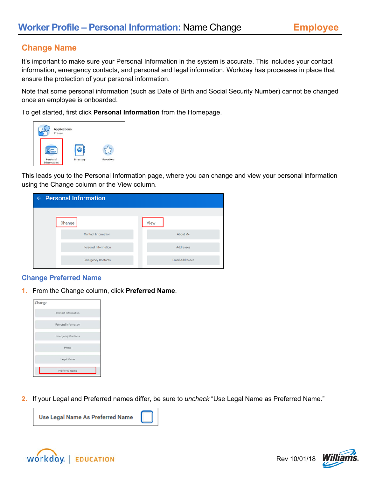## **Change Name**

It's important to make sure your Personal Information in the system is accurate. This includes your contact information, emergency contacts, and personal and legal information. Workday has processes in place that ensure the protection of your personal information.

Note that some personal information (such as Date of Birth and Social Security Number) cannot be changed once an employee is onboarded.

To get started, first click **Personal Information** from the Homepage.



This leads you to the Personal Information page, where you can change and view your personal information using the Change column or the View column.

| $\leftarrow$ Personal Information |                        |  |
|-----------------------------------|------------------------|--|
| Change                            | View                   |  |
| <b>Contact Information</b>        | About Me               |  |
| <b>Personal Information</b>       | Addresses              |  |
| <b>Emergency Contacts</b>         | <b>Email Addresses</b> |  |

## **Change Preferred Name**

**1.** From the Change column, click **Preferred Name**.



**2.** If your Legal and Preferred names differ, be sure to *uncheck* "Use Legal Name as Preferred Name."





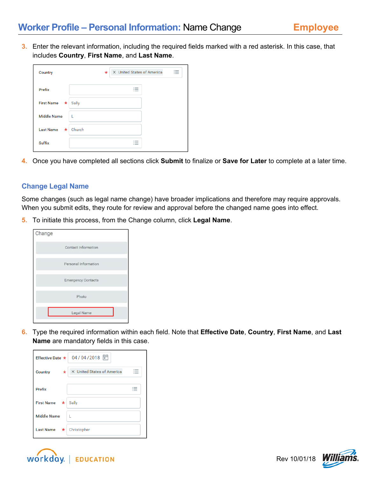**3.** Enter the relevant information, including the required fields marked with a red asterisk. In this case, that includes **Country**, **First Name**, and **Last Name**.

| Country            | $\sim$<br>X United States of America<br>$\star$<br>$\cdots$<br>$\overline{\phantom{a}}$ |
|--------------------|-----------------------------------------------------------------------------------------|
| <b>Prefix</b>      | $\overline{\phantom{a}}$<br>$\overline{\phantom{a}}$<br>$\overline{\phantom{a}}$        |
| First Name *       | Sally                                                                                   |
| <b>Middle Name</b> | L                                                                                       |
| Last Name *        | Church                                                                                  |
| <b>Suffix</b>      | $\sim$<br>$\overline{\phantom{a}}$<br>$\overline{\phantom{a}}$                          |

**4.** Once you have completed all sections click **Submit** to finalize or **Save for Later** to complete at a later time.

## **Change Legal Name**

Some changes (such as legal name change) have broader implications and therefore may require approvals. When you submit edits, they route for review and approval before the changed name goes into effect.

**5.** To initiate this process, from the Change column, click **Legal Name**.

| Change |                            |
|--------|----------------------------|
|        | <b>Contact Information</b> |
|        | Personal Information       |
|        | <b>Emergency Contacts</b>  |
|        | Photo                      |
|        | Legal Name                 |

**6.** Type the required information within each field. Note that **Effective Date**, **Country**, **First Name**, and **Last Name** are mandatory fields in this case.

|                             | Effective Date $\star$ 04/04/2018 |
|-----------------------------|-----------------------------------|
| $\star$<br><b>Country</b>   | X United States of America        |
| Prefix                      | $\sim$<br>$\sim$ $-$              |
| First Name *                | Sally                             |
| <b>Middle Name</b>          |                                   |
| <b>Last Name</b><br>$\star$ | Christopher                       |